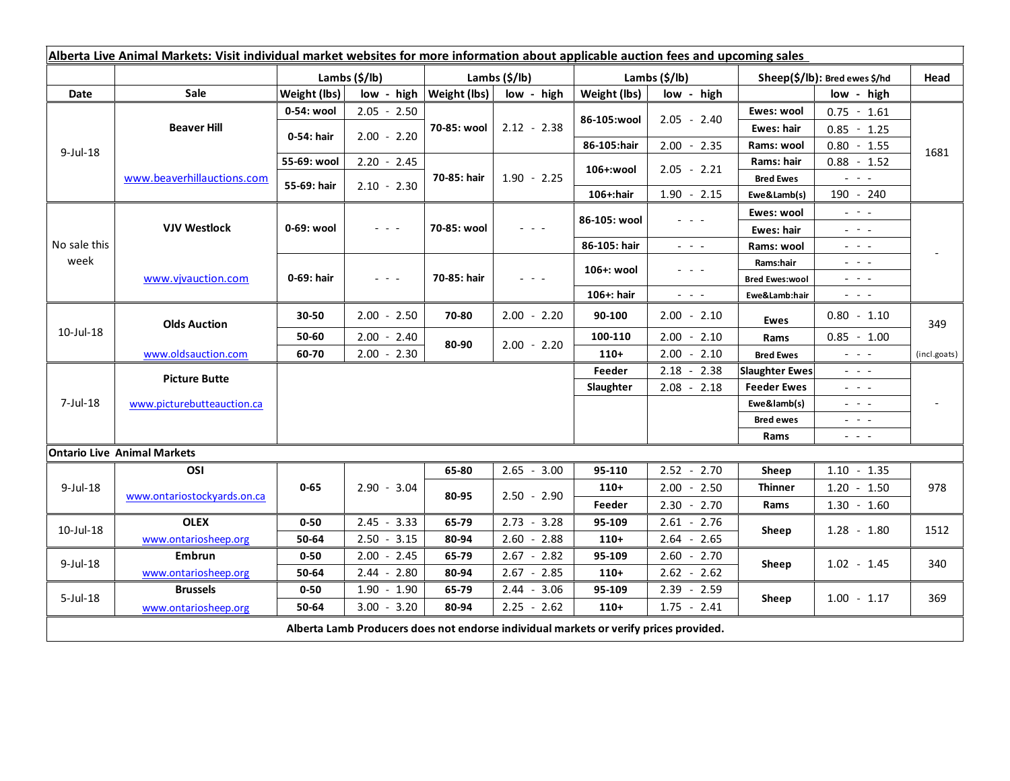| Alberta Live Animal Markets: Visit individual market websites for more information about applicable auction fees and upcoming sales |                                    |               |                                    |                           |                                                                                   |                  |                                                                                                                           |                                         |                                                                                                                           |                |
|-------------------------------------------------------------------------------------------------------------------------------------|------------------------------------|---------------|------------------------------------|---------------------------|-----------------------------------------------------------------------------------|------------------|---------------------------------------------------------------------------------------------------------------------------|-----------------------------------------|---------------------------------------------------------------------------------------------------------------------------|----------------|
|                                                                                                                                     |                                    | Lambs (\$/lb) |                                    | Lambs $(\frac{2}{3})$ lb) |                                                                                   | Lambs (\$/lb)    |                                                                                                                           | Sheep(\$/lb): Bred ewes \$/hd           |                                                                                                                           | Head           |
| Date                                                                                                                                | <b>Sale</b>                        | Weight (lbs)  | low - high                         | Weight (lbs)              | low - high                                                                        | Weight (lbs)     | low - high                                                                                                                | low - high                              |                                                                                                                           |                |
| $9$ -Jul-18                                                                                                                         | <b>Beaver Hill</b>                 | 0-54: wool    | $2.05 - 2.50$                      | 70-85: wool               | $2.12 - 2.38$                                                                     | 86-105:wool      | $2.05 - 2.40$                                                                                                             | Ewes: wool                              | $0.75 - 1.61$                                                                                                             | 1681           |
|                                                                                                                                     |                                    | 0-54: hair    | $2.00 - 2.20$                      |                           |                                                                                   |                  |                                                                                                                           | <b>Ewes: hair</b>                       | $0.85 - 1.25$                                                                                                             |                |
|                                                                                                                                     |                                    |               |                                    |                           |                                                                                   | 86-105:hair      | $2.00 - 2.35$                                                                                                             | Rams: wool                              | $0.80 - 1.55$                                                                                                             |                |
|                                                                                                                                     | www.beaverhillauctions.com         | 55-69: wool   | $2.20 - 2.45$                      | 70-85: hair               | $1.90 - 2.25$                                                                     | 106+:wool        | $2.05 - 2.21$                                                                                                             | Rams: hair                              | $0.88 - 1.52$                                                                                                             |                |
|                                                                                                                                     |                                    | 55-69: hair   | $2.10 - 2.30$                      |                           |                                                                                   |                  |                                                                                                                           | <b>Bred Ewes</b>                        | $\omega_{\rm{c}}$ , $\omega_{\rm{c}}$ , $\omega_{\rm{c}}$                                                                 |                |
|                                                                                                                                     |                                    |               |                                    |                           |                                                                                   | 106+:hair        | $1.90 - 2.15$                                                                                                             | Ewe&Lamb(s)                             | 190 - 240                                                                                                                 |                |
| No sale this<br>week                                                                                                                | <b>VJV Westlock</b>                | 0-69: wool    | $  -$                              | 70-85: wool               |                                                                                   | 86-105: wool     |                                                                                                                           | Ewes: wool                              | $\frac{1}{2} \left( \frac{1}{2} \right) = \frac{1}{2} \left( \frac{1}{2} \right)$                                         |                |
|                                                                                                                                     |                                    |               |                                    |                           |                                                                                   |                  |                                                                                                                           | <b>Ewes: hair</b>                       | $\mathbf{L} = \mathbf{L} \mathbf{L}$                                                                                      |                |
|                                                                                                                                     |                                    |               |                                    |                           |                                                                                   | 86-105: hair     | $\frac{1}{2} \left( \frac{1}{2} \right) = \frac{1}{2} \left( \frac{1}{2} \right)$                                         | Rams: wool                              | $- - -$                                                                                                                   |                |
|                                                                                                                                     | www.vjvauction.com                 | 0-69: hair    | $\mathbb{L}^2 \times \mathbb{L}^2$ | 70-85: hair               | $\frac{1}{2} \left( \frac{1}{2} \right) = \frac{1}{2} \left( \frac{1}{2} \right)$ | 106+: wool       | - - -                                                                                                                     | Rams:hair                               | $  -$                                                                                                                     |                |
|                                                                                                                                     |                                    |               |                                    |                           |                                                                                   |                  |                                                                                                                           | <b>Bred Ewes:wool</b>                   | $  -$                                                                                                                     |                |
|                                                                                                                                     |                                    |               |                                    |                           |                                                                                   | 106+: hair       | $\frac{1}{2} \left( \frac{1}{2} \right) \left( \frac{1}{2} \right) \left( \frac{1}{2} \right) \left( \frac{1}{2} \right)$ | Ewe&Lamb:hair                           | $\frac{1}{2} \left( \frac{1}{2} \right) \left( \frac{1}{2} \right) \left( \frac{1}{2} \right) \left( \frac{1}{2} \right)$ |                |
| 10-Jul-18                                                                                                                           | <b>Olds Auction</b>                | 30-50         | $2.00 - 2.50$                      | 70-80                     | $2.00 - 2.20$                                                                     | 90-100           | $2.00 - 2.10$                                                                                                             | Ewes                                    | $0.80 - 1.10$                                                                                                             | 349            |
|                                                                                                                                     |                                    | 50-60         | $2.00 - 2.40$                      | 80-90                     | $2.00 - 2.20$                                                                     | 100-110          | $2.00 - 2.10$                                                                                                             | Rams                                    | $0.85 - 1.00$                                                                                                             |                |
|                                                                                                                                     | www.oldsauction.com                | 60-70         | $2.00 - 2.30$                      |                           |                                                                                   | $110+$           | $2.00 - 2.10$                                                                                                             | <b>Bred Ewes</b>                        | $\omega_{\rm{c}}$ and $\omega_{\rm{c}}$                                                                                   | (incl.goats)   |
| $7$ -Jul-18                                                                                                                         | <b>Picture Butte</b>               |               |                                    |                           |                                                                                   | Feeder           | $2.18 - 2.38$                                                                                                             | <b>Slaughter Ewes</b>                   | $\frac{1}{2} \left( \frac{1}{2} \right) \left( \frac{1}{2} \right) \left( \frac{1}{2} \right) \left( \frac{1}{2} \right)$ |                |
|                                                                                                                                     | www.picturebutteauction.ca         |               |                                    |                           |                                                                                   | <b>Slaughter</b> | $2.08 - 2.18$                                                                                                             | <b>Feeder Ewes</b>                      | $\frac{1}{2} \left( \frac{1}{2} \right) \left( \frac{1}{2} \right) \left( \frac{1}{2} \right) \left( \frac{1}{2} \right)$ | $\blacksquare$ |
|                                                                                                                                     |                                    |               |                                    |                           |                                                                                   |                  |                                                                                                                           | Ewe&lamb(s)                             | $\frac{1}{2} \left( \frac{1}{2} \right) \left( \frac{1}{2} \right) \left( \frac{1}{2} \right) \left( \frac{1}{2} \right)$ |                |
|                                                                                                                                     |                                    |               |                                    |                           |                                                                                   |                  |                                                                                                                           | <b>Bred ewes</b>                        | $  -$                                                                                                                     |                |
|                                                                                                                                     |                                    |               |                                    |                           |                                                                                   |                  |                                                                                                                           | Rams                                    | $\frac{1}{2} \left( \frac{1}{2} \right) \frac{1}{2} \left( \frac{1}{2} \right) \frac{1}{2} \left( \frac{1}{2} \right)$    |                |
|                                                                                                                                     | <b>Ontario Live Animal Markets</b> |               |                                    |                           |                                                                                   |                  |                                                                                                                           |                                         |                                                                                                                           |                |
| $9$ -Jul-18                                                                                                                         | OSI                                | $0 - 65$      | $2.90 - 3.04$                      | 65-80<br>80-95            | $2.65 - 3.00$                                                                     | 95-110           | $2.52 - 2.70$                                                                                                             | Sheep                                   | $1.10 - 1.35$                                                                                                             | 978            |
|                                                                                                                                     | www.ontariostockyards.on.ca        |               |                                    |                           | $2.50 - 2.90$                                                                     | $110+$           | $2.00 - 2.50$                                                                                                             | <b>Thinner</b><br>$1.30 - 1.60$<br>Rams | $1.20 - 1.50$                                                                                                             |                |
|                                                                                                                                     |                                    |               |                                    |                           |                                                                                   | Feeder           | $2.30 - 2.70$                                                                                                             |                                         |                                                                                                                           |                |
| 10-Jul-18                                                                                                                           | <b>OLEX</b>                        | $0 - 50$      | $2.45 - 3.33$                      | 65-79                     | $2.73 - 3.28$                                                                     | 95-109           | $2.61 - 2.76$                                                                                                             | Sheep                                   | $1.28 - 1.80$                                                                                                             | 1512           |
|                                                                                                                                     | www.ontariosheep.org               | 50-64         | $2.50 - 3.15$                      | 80-94                     | $2.60 - 2.88$                                                                     | $110+$           | $2.64 - 2.65$                                                                                                             |                                         |                                                                                                                           |                |
| $9$ -Jul-18                                                                                                                         | <b>Embrun</b>                      | $0 - 50$      | $2.00 - 2.45$                      | 65-79                     | $2.67 - 2.82$                                                                     | 95-109           | $2.60 - 2.70$                                                                                                             | Sheep                                   | $1.02 - 1.45$                                                                                                             | 340            |
|                                                                                                                                     | www.ontariosheep.org               | 50-64         | $2.44 - 2.80$                      | 80-94                     | $2.67 - 2.85$                                                                     | $110+$           | $2.62 - 2.62$                                                                                                             |                                         |                                                                                                                           |                |
| $5$ -Jul-18                                                                                                                         | <b>Brussels</b>                    | $0 - 50$      | $1.90 - 1.90$                      | 65-79                     | $2.44 - 3.06$                                                                     | 95-109           | 2.39<br>$-2.59$                                                                                                           | Sheep                                   | $1.00 - 1.17$                                                                                                             | 369            |
|                                                                                                                                     | www.ontariosheep.org               | 50-64         | $3.00 - 3.20$                      | 80-94                     | $2.25 - 2.62$                                                                     | $110+$           | $1.75 - 2.41$                                                                                                             |                                         |                                                                                                                           |                |
| Alberta Lamb Producers does not endorse individual markets or verify prices provided.                                               |                                    |               |                                    |                           |                                                                                   |                  |                                                                                                                           |                                         |                                                                                                                           |                |